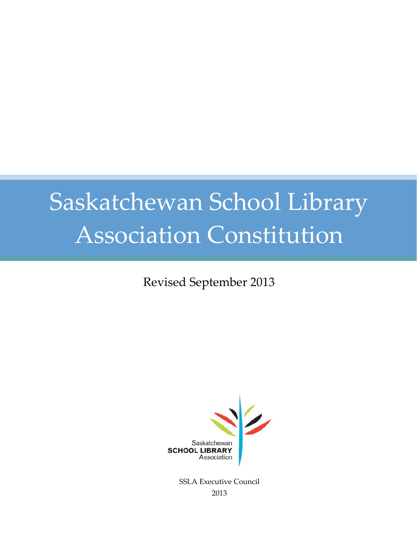# Saskatchewan School Library Association Constitution

Revised September 2013



SSLA Executive Council 2013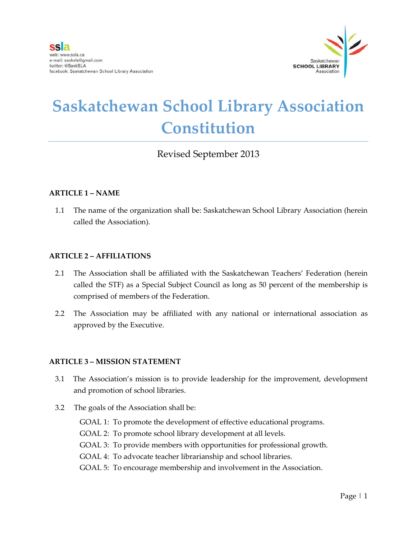

## **Saskatchewan School Library Association Constitution**

### Revised September 2013

#### **ARTICLE 1 – NAME**

1.1 The name of the organization shall be: Saskatchewan School Library Association (herein called the Association).

#### **ARTICLE 2 – AFFILIATIONS**

- 2.1 The Association shall be affiliated with the Saskatchewan Teachers' Federation (herein called the STF) as a Special Subject Council as long as 50 percent of the membership is comprised of members of the Federation.
- 2.2 The Association may be affiliated with any national or international association as approved by the Executive.

#### **ARTICLE 3 – MISSION STATEMENT**

- 3.1 The Association's mission is to provide leadership for the improvement, development and promotion of school libraries.
- 3.2 The goals of the Association shall be:
	- GOAL 1: To promote the development of effective educational programs.
	- GOAL 2: To promote school library development at all levels.
	- GOAL 3: To provide members with opportunities for professional growth.
	- GOAL 4: To advocate teacher librarianship and school libraries.
	- GOAL 5: To encourage membership and involvement in the Association.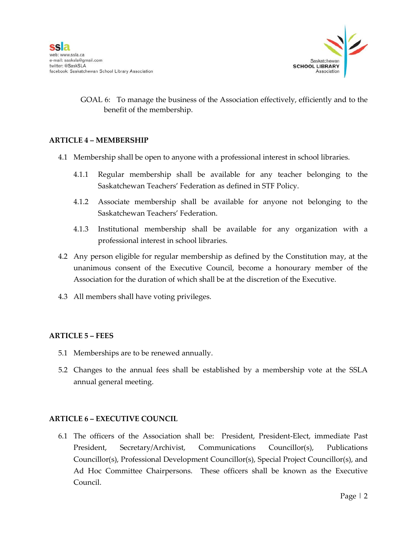

#### GOAL 6: To manage the business of the Association effectively, efficiently and to the benefit of the membership.

#### **ARTICLE 4 – MEMBERSHIP**

- 4.1 Membership shall be open to anyone with a professional interest in school libraries.
	- 4.1.1 Regular membership shall be available for any teacher belonging to the Saskatchewan Teachers' Federation as defined in STF Policy.
	- 4.1.2 Associate membership shall be available for anyone not belonging to the Saskatchewan Teachers' Federation.
	- 4.1.3 Institutional membership shall be available for any organization with a professional interest in school libraries.
- 4.2 Any person eligible for regular membership as defined by the Constitution may, at the unanimous consent of the Executive Council, become a honourary member of the Association for the duration of which shall be at the discretion of the Executive.
- 4.3 All members shall have voting privileges.

#### **ARTICLE 5 – FEES**

- 5.1 Memberships are to be renewed annually.
- 5.2 Changes to the annual fees shall be established by a membership vote at the SSLA annual general meeting.

#### **ARTICLE 6 – EXECUTIVE COUNCIL**

6.1 The officers of the Association shall be: President, President-Elect, immediate Past President, Secretary/Archivist, Communications Councillor(s), Publications Councillor(s), Professional Development Councillor(s), Special Project Councillor(s), and Ad Hoc Committee Chairpersons. These officers shall be known as the Executive Council.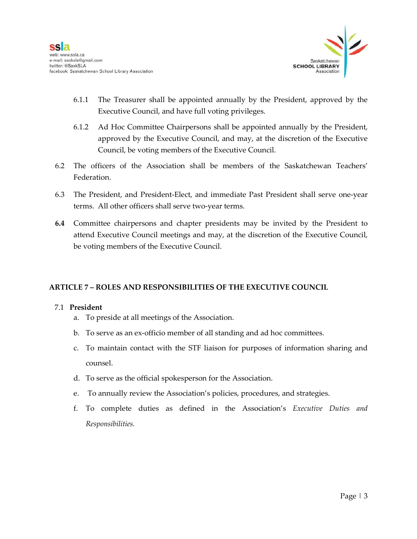

- 6.1.1 The Treasurer shall be appointed annually by the President, approved by the Executive Council, and have full voting privileges.
- 6.1.2 Ad Hoc Committee Chairpersons shall be appointed annually by the President, approved by the Executive Council, and may, at the discretion of the Executive Council, be voting members of the Executive Council.
- 6.2 The officers of the Association shall be members of the Saskatchewan Teachers' Federation.
- 6.3 The President, and President-Elect, and immediate Past President shall serve one-year terms. All other officers shall serve two-year terms.
- **6.4** Committee chairpersons and chapter presidents may be invited by the President to attend Executive Council meetings and may, at the discretion of the Executive Council, be voting members of the Executive Council.

#### **ARTICLE 7 – ROLES AND RESPONSIBILITIES OF THE EXECUTIVE COUNCIL**

#### 7.1 **President**

- a. To preside at all meetings of the Association.
- b. To serve as an ex-officio member of all standing and ad hoc committees.
- c. To maintain contact with the STF liaison for purposes of information sharing and counsel.
- d. To serve as the official spokesperson for the Association.
- e. To annually review the Association's policies, procedures, and strategies.
- f. To complete duties as defined in the Association's *Executive Duties and Responsibilities.*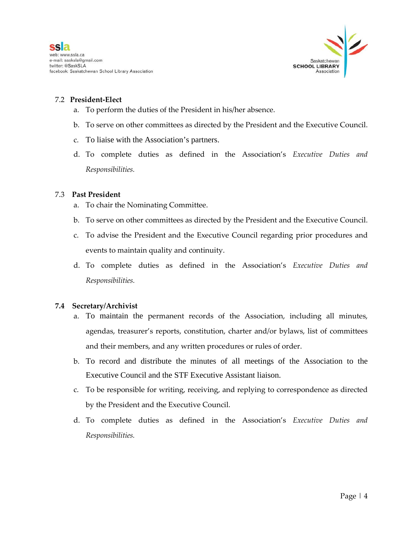

#### 7.2 **President-Elect**

- a. To perform the duties of the President in his/her absence.
- b. To serve on other committees as directed by the President and the Executive Council.
- c. To liaise with the Association's partners.
- d. To complete duties as defined in the Association's *Executive Duties and Responsibilities.*

#### 7.3 **Past President**

- a. To chair the Nominating Committee.
- b. To serve on other committees as directed by the President and the Executive Council.
- c. To advise the President and the Executive Council regarding prior procedures and events to maintain quality and continuity.
- d. To complete duties as defined in the Association's *Executive Duties and Responsibilities.*

#### **7.4 Secretary/Archivist**

- a. To maintain the permanent records of the Association, including all minutes, agendas, treasurer's reports, constitution, charter and/or bylaws, list of committees and their members, and any written procedures or rules of order.
- b. To record and distribute the minutes of all meetings of the Association to the Executive Council and the STF Executive Assistant liaison.
- c. To be responsible for writing, receiving, and replying to correspondence as directed by the President and the Executive Council.
- d. To complete duties as defined in the Association's *Executive Duties and Responsibilities.*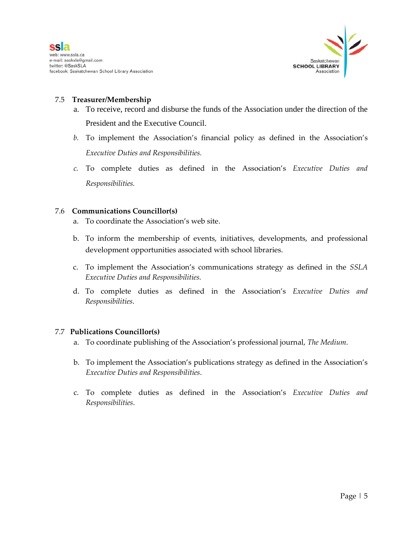

#### 7.5 **Treasurer/Membership**

- a. To receive, record and disburse the funds of the Association under the direction of the President and the Executive Council.
- *b.* To implement the Association's financial policy as defined in the Association's *Executive Duties and Responsibilities.*
- *c.* To complete duties as defined in the Association's *Executive Duties and Responsibilities.*

#### 7.6 **Communications Councillor(s)**

- a. To coordinate the Association's web site.
- b. To inform the membership of events, initiatives, developments, and professional development opportunities associated with school libraries.
- c. To implement the Association's communications strategy as defined in the *SSLA Executive Duties and Responsibilities.*
- d. To complete duties as defined in the Association's *Executive Duties and Responsibilities*.

#### 7.7 **Publications Councillor(s)**

- a. To coordinate publishing of the Association's professional journal, *The Medium*.
- b. To implement the Association's publications strategy as defined in the Association's *Executive Duties and Responsibilities*.
- c. To complete duties as defined in the Association's *Executive Duties and Responsibilities*.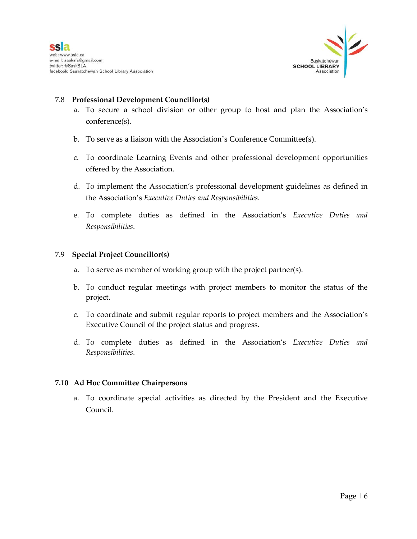

#### 7.8 **Professional Development Councillor(s)**

- a. To secure a school division or other group to host and plan the Association's conference(s).
- b. To serve as a liaison with the Association's Conference Committee(s).
- c. To coordinate Learning Events and other professional development opportunities offered by the Association.
- d. To implement the Association's professional development guidelines as defined in the Association's *Executive Duties and Responsibilities*.
- e. To complete duties as defined in the Association's *Executive Duties and Responsibilities*.

#### 7.9 **Special Project Councillor(s)**

- a. To serve as member of working group with the project partner(s).
- b. To conduct regular meetings with project members to monitor the status of the project.
- c. To coordinate and submit regular reports to project members and the Association's Executive Council of the project status and progress.
- d. To complete duties as defined in the Association's *Executive Duties and Responsibilities*.

#### **7.10 Ad Hoc Committee Chairpersons**

a. To coordinate special activities as directed by the President and the Executive Council.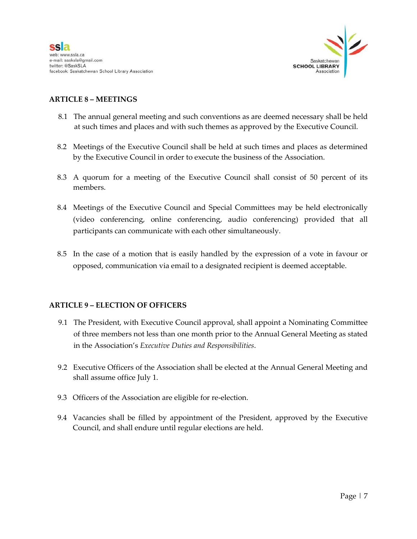

#### **ARTICLE 8 – MEETINGS**

- 8.1 The annual general meeting and such conventions as are deemed necessary shall be held at such times and places and with such themes as approved by the Executive Council.
- 8.2 Meetings of the Executive Council shall be held at such times and places as determined by the Executive Council in order to execute the business of the Association.
- 8.3 A quorum for a meeting of the Executive Council shall consist of 50 percent of its members.
- 8.4 Meetings of the Executive Council and Special Committees may be held electronically (video conferencing, online conferencing, audio conferencing) provided that all participants can communicate with each other simultaneously.
- 8.5 In the case of a motion that is easily handled by the expression of a vote in favour or opposed, communication via email to a designated recipient is deemed acceptable.

#### **ARTICLE 9 – ELECTION OF OFFICERS**

- 9.1 The President, with Executive Council approval, shall appoint a Nominating Committee of three members not less than one month prior to the Annual General Meeting as stated in the Association's *Executive Duties and Responsibilities*.
- 9.2 Executive Officers of the Association shall be elected at the Annual General Meeting and shall assume office July 1.
- 9.3 Officers of the Association are eligible for re-election.
- 9.4 Vacancies shall be filled by appointment of the President, approved by the Executive Council, and shall endure until regular elections are held.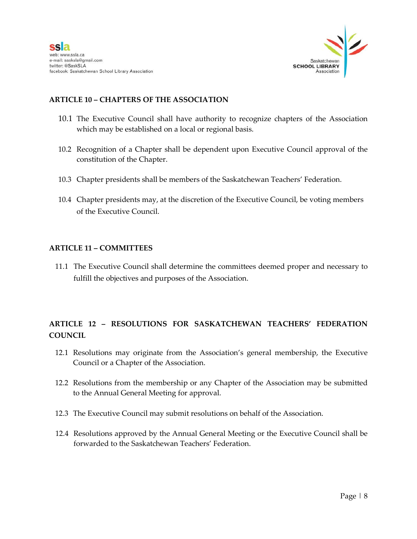

#### **ARTICLE 10 – CHAPTERS OF THE ASSOCIATION**

- 10.1 The Executive Council shall have authority to recognize chapters of the Association which may be established on a local or regional basis.
- 10.2 Recognition of a Chapter shall be dependent upon Executive Council approval of the constitution of the Chapter.
- 10.3 Chapter presidents shall be members of the Saskatchewan Teachers' Federation.
- 10.4 Chapter presidents may, at the discretion of the Executive Council, be voting members of the Executive Council.

#### **ARTICLE 11 – COMMITTEES**

11.1 The Executive Council shall determine the committees deemed proper and necessary to fulfill the objectives and purposes of the Association.

#### **ARTICLE 12 – RESOLUTIONS FOR SASKATCHEWAN TEACHERS' FEDERATION COUNCIL**

- 12.1 Resolutions may originate from the Association's general membership, the Executive Council or a Chapter of the Association.
- 12.2 Resolutions from the membership or any Chapter of the Association may be submitted to the Annual General Meeting for approval.
- 12.3 The Executive Council may submit resolutions on behalf of the Association.
- 12.4 Resolutions approved by the Annual General Meeting or the Executive Council shall be forwarded to the Saskatchewan Teachers' Federation.